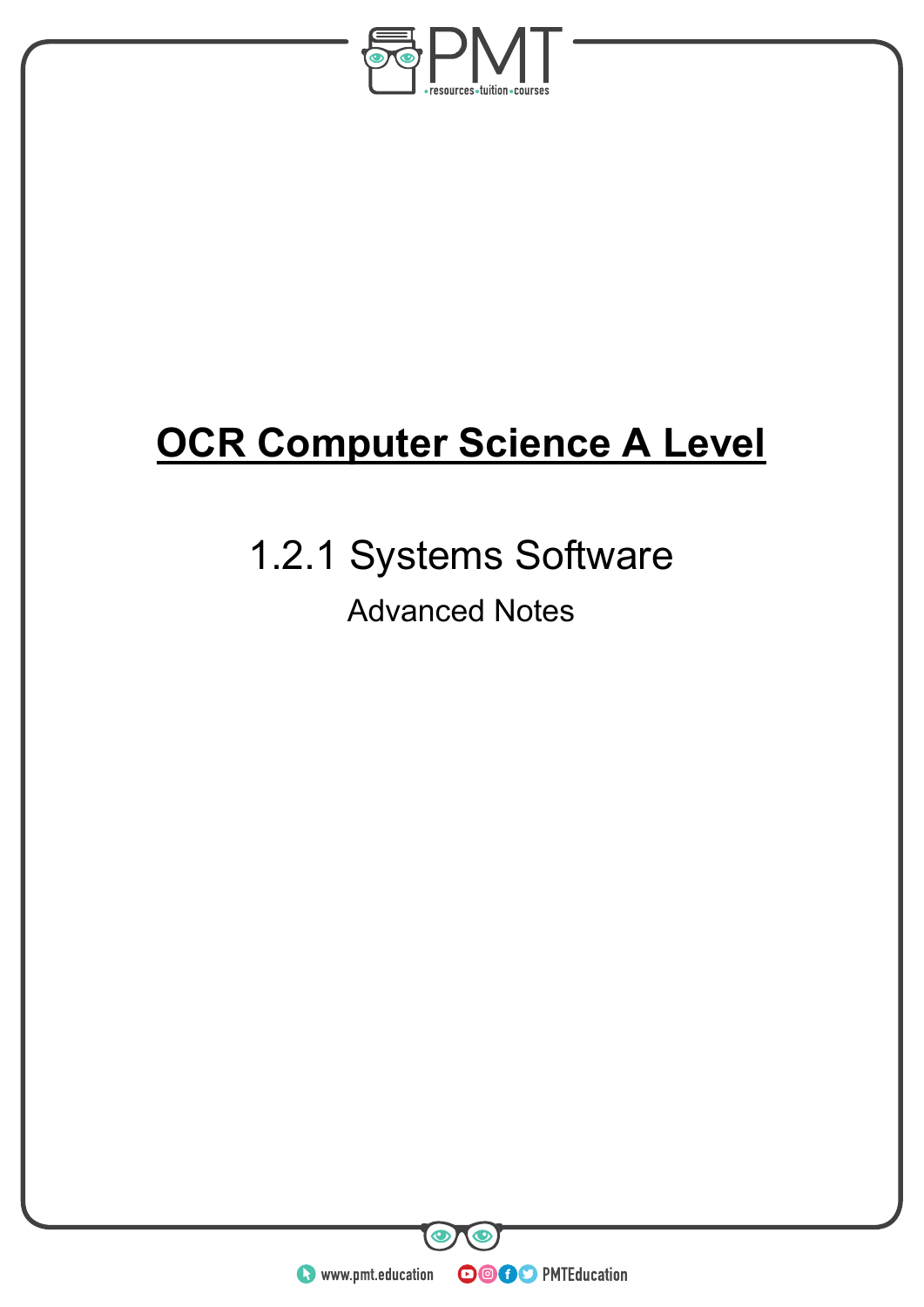

# **OCR Computer Science A Level**

## 1.2.1 Systems Software Advanced Notes

**WWW.pmt.education**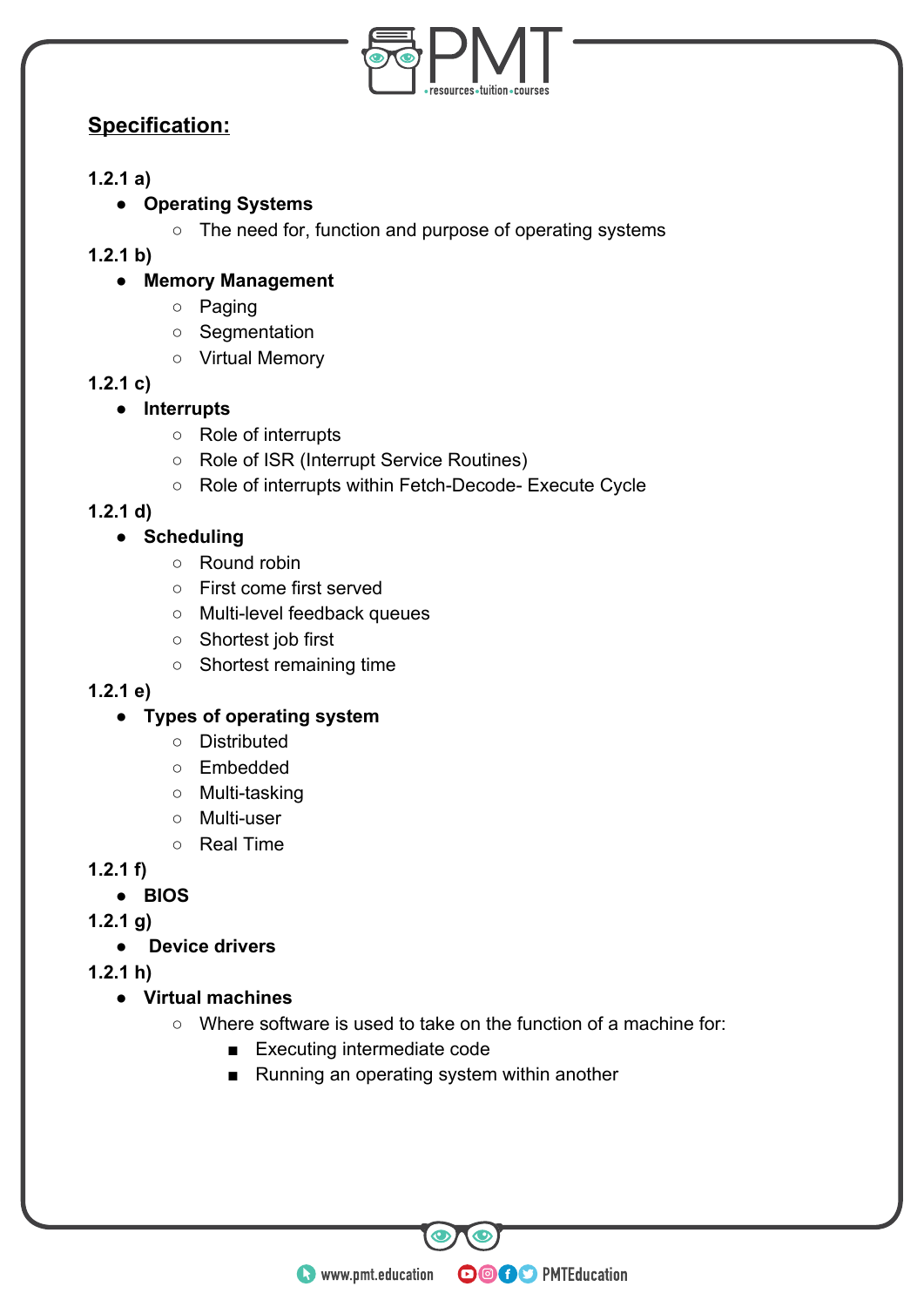

## **Specification:**

#### **1.2.1 a)**

#### **● Operating Systems**

○ The need for, function and purpose of operating systems

#### **1.2.1 b)**

#### **● Memory Management**

- Paging
- Segmentation
- Virtual Memory

#### **1.2.1 c)**

#### **● Interrupts**

- Role of interrupts
- Role of ISR (Interrupt Service Routines)
- Role of interrupts within Fetch-Decode- Execute Cycle

#### **1.2.1 d)**

#### **● Scheduling**

- Round robin
- First come first served
- Multi-level feedback queues
- Shortest job first
- Shortest remaining time

#### **1.2.1 e)**

#### **● Types of operating system**

- Distributed
- Embedded
- Multi-tasking
- Multi-user
- Real Time

#### **1.2.1 f)**

#### **● BIOS**

#### **1.2.1 g)**

**● Device drivers**

**1.2.1 h)** 

- **Virtual machines**
	- Where software is used to take on the function of a machine for:

**OOOO** PMTEducation

- Executing intermediate code
- Running an operating system within another

**WWW.pmt.education**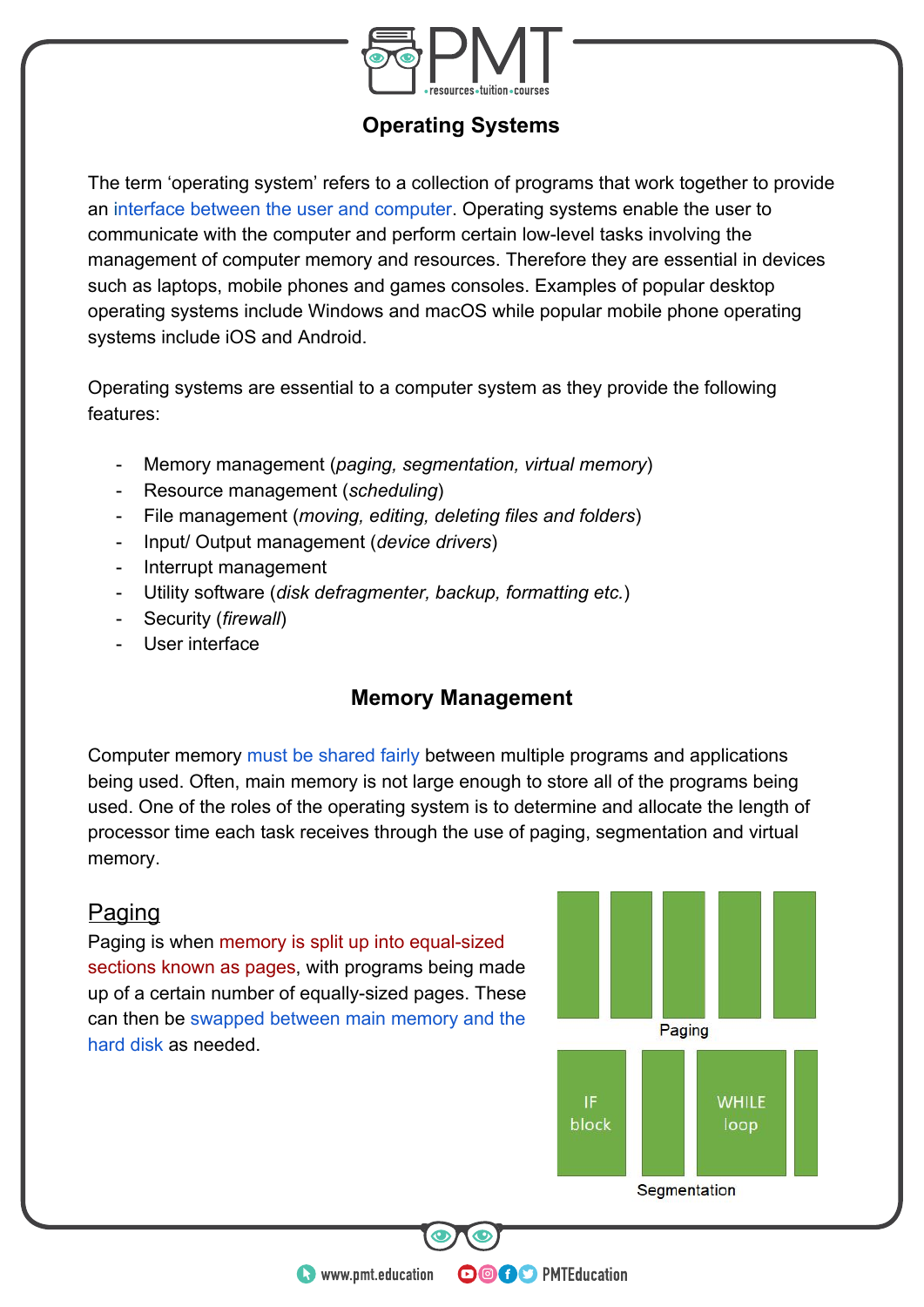

## **Operating Systems**

The term 'operating system' refers to a collection of programs that work together to provide an interface between the user and computer. Operating systems enable the user to communicate with the computer and perform certain low-level tasks involving the management of computer memory and resources. Therefore they are essential in devices such as laptops, mobile phones and games consoles. Examples of popular desktop operating systems include Windows and macOS while popular mobile phone operating systems include iOS and Android.

Operating systems are essential to a computer system as they provide the following features:

- Memory management (*paging, segmentation, virtual memory*)
- Resource management (*scheduling*)
- File management (*moving, editing, deleting files and folders*)
- Input/ Output management (*device drivers*)
- Interrupt management
- Utility software (*disk defragmenter, backup, formatting etc.*)
- Security (*firewall*)
- User interface

### **Memory Management**

Computer memory must be shared fairly between multiple programs and applications being used. Often, main memory is not large enough to store all of the programs being used. One of the roles of the operating system is to determine and allocate the length of processor time each task receives through the use of paging, segmentation and virtual memory.

#### **Paging**

Paging is when memory is split up into equal-sized sections known as pages, with programs being made up of a certain number of equally-sized pages. These can then be swapped between main memory and the hard disk as needed.



**WWW.pmt.education**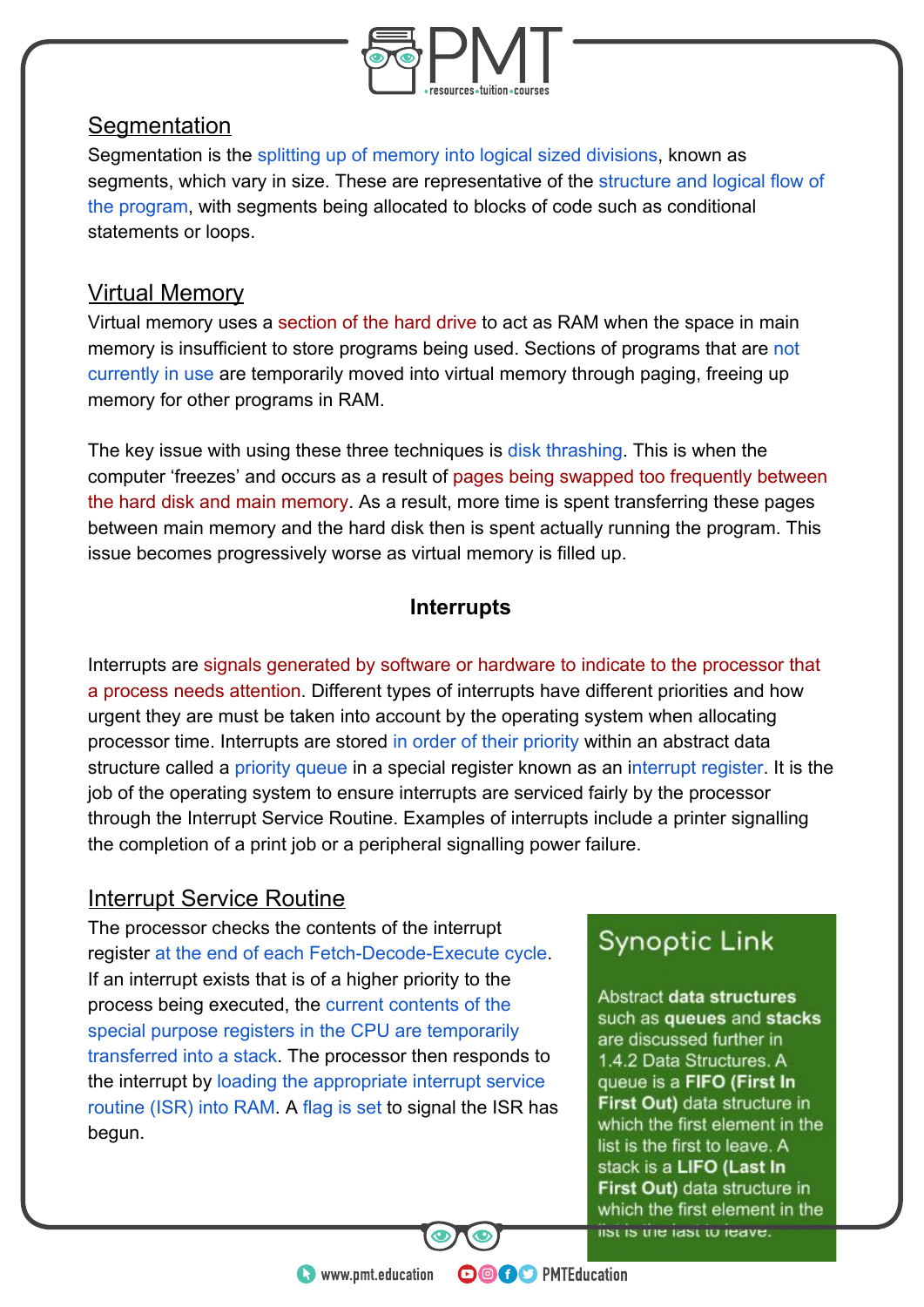

## **Segmentation**

Segmentation is the splitting up of memory into logical sized divisions, known as segments, which vary in size. These are representative of the structure and logical flow of the program, with segments being allocated to blocks of code such as conditional statements or loops.

## Virtual Memory

Virtual memory uses a section of the hard drive to act as RAM when the space in main memory is insufficient to store programs being used. Sections of programs that are not currently in use are temporarily moved into virtual memory through paging, freeing up memory for other programs in RAM.

The key issue with using these three techniques is disk thrashing. This is when the computer 'freezes' and occurs as a result of pages being swapped too frequently between the hard disk and main memory. As a result, more time is spent transferring these pages between main memory and the hard disk then is spent actually running the program. This issue becomes progressively worse as virtual memory is filled up.

## **Interrupts**

Interrupts are signals generated by software or hardware to indicate to the processor that a process needs attention. Different types of interrupts have different priorities and how urgent they are must be taken into account by the operating system when allocating processor time. Interrupts are stored in order of their priority within an abstract data structure called a priority queue in a special register known as an interrupt register. It is the job of the operating system to ensure interrupts are serviced fairly by the processor through the Interrupt Service Routine. Examples of interrupts include a printer signalling the completion of a print job or a peripheral signalling power failure.

## Interrupt Service Routine

The processor checks the contents of the interrupt register at the end of each Fetch-Decode-Execute cycle. If an interrupt exists that is of a higher priority to the process being executed, the current contents of the special purpose registers in the CPU are temporarily transferred into a stack. The processor then responds to the interrupt by loading the appropriate interrupt service routine (ISR) into RAM. A flag is set to signal the ISR has begun.

## **Synoptic Link**

Abstract data structures such as queues and stacks are discussed further in 1.4.2 Data Structures. A queue is a FIFO (First In First Out) data structure in which the first element in the list is the first to leave. A stack is a LIFO (Last In First Out) data structure in which the first element in the list is the last to leave.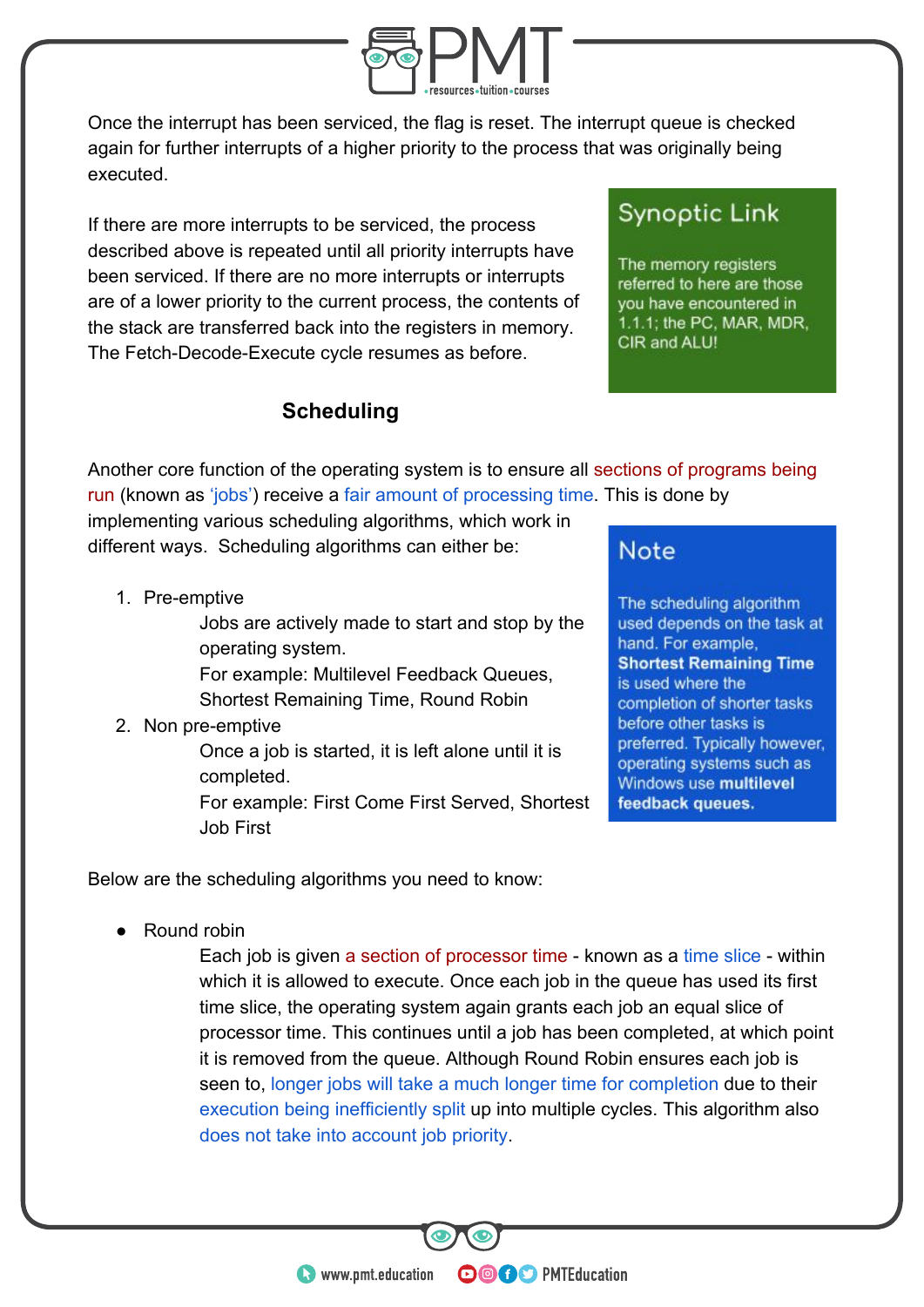

Once the interrupt has been serviced, the flag is reset. The interrupt queue is checked again for further interrupts of a higher priority to the process that was originally being executed.

If there are more interrupts to be serviced, the process described above is repeated until all priority interrupts have been serviced. If there are no more interrupts or interrupts are of a lower priority to the current process, the contents of the stack are transferred back into the registers in memory. The Fetch-Decode-Execute cycle resumes as before.

## **Scheduling**

## **Synoptic Link**

The memory registers referred to here are those you have encountered in 1.1.1; the PC, MAR, MDR, CIR and ALU!

Another core function of the operating system is to ensure all sections of programs being run (known as 'jobs') receive a fair amount of processing time. This is done by

implementing various scheduling algorithms, which work in different ways. Scheduling algorithms can either be:

1. Pre-emptive

Jobs are actively made to start and stop by the operating system.

For example: Multilevel Feedback Queues, Shortest Remaining Time, Round Robin

2. Non pre-emptive

Once a job is started, it is left alone until it is completed.

For example: First Come First Served, Shortest Job First

## **Note**

The scheduling algorithm used depends on the task at hand. For example, **Shortest Remaining Time** is used where the completion of shorter tasks before other tasks is preferred. Typically however, operating systems such as Windows use multilevel feedback queues.

Below are the scheduling algorithms you need to know:

Round robin

Each job is given a section of processor time - known as a time slice - within which it is allowed to execute. Once each job in the queue has used its first time slice, the operating system again grants each job an equal slice of processor time. This continues until a job has been completed, at which point it is removed from the queue. Although Round Robin ensures each job is seen to, longer jobs will take a much longer time for completion due to their execution being inefficiently split up into multiple cycles. This algorithm also does not take into account job priority.

**OOOO** PMTEducation

**C** www.pmt.education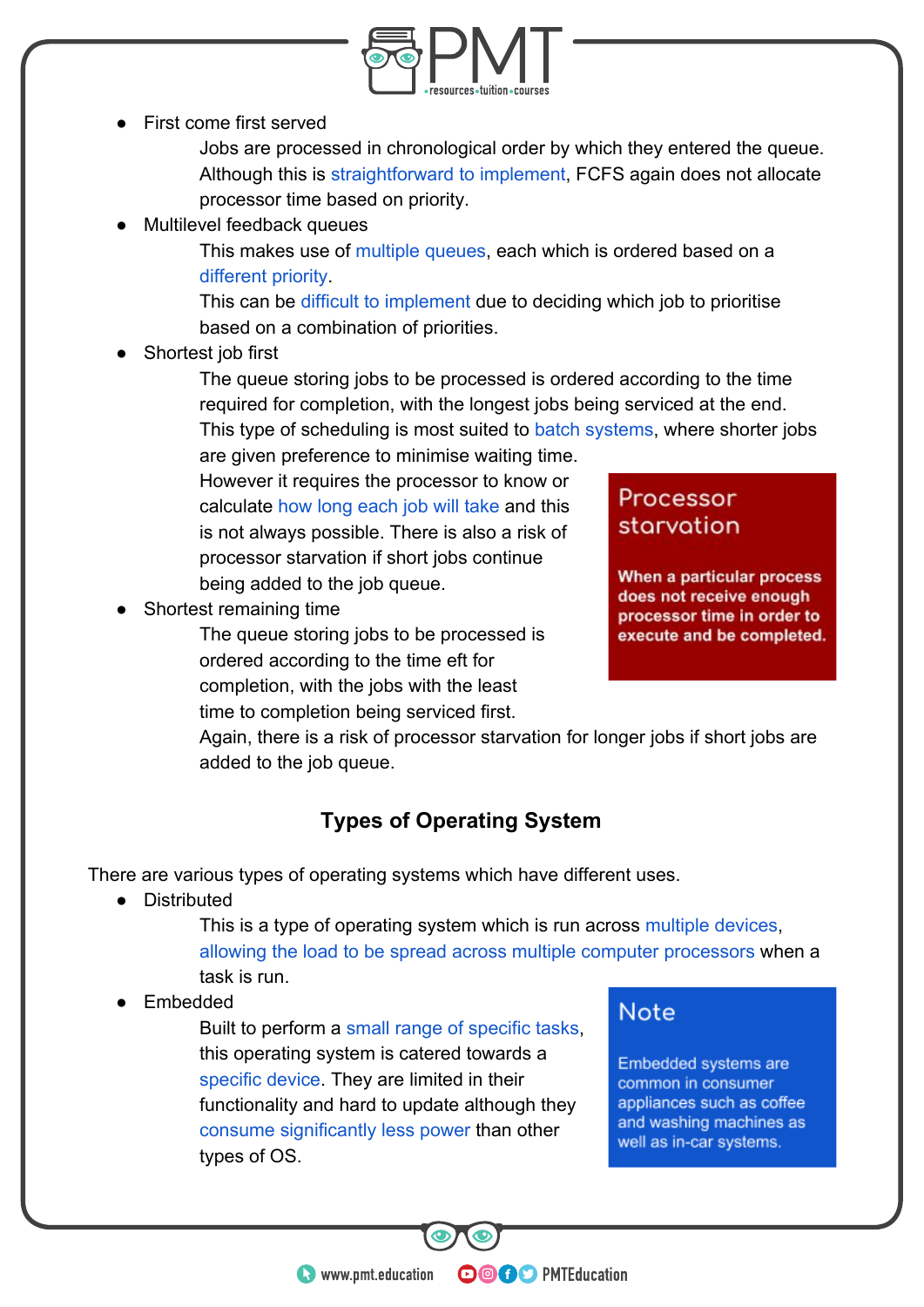

First come first served

Jobs are processed in chronological order by which they entered the queue. Although this is straightforward to implement, FCFS again does not allocate processor time based on priority.

Multilevel feedback queues

This makes use of multiple queues, each which is ordered based on a different priority.

This can be difficult to implement due to deciding which job to prioritise based on a combination of priorities.

Shortest job first

The queue storing jobs to be processed is ordered according to the time required for completion, with the longest jobs being serviced at the end. This type of scheduling is most suited to batch systems, where shorter jobs

are given preference to minimise waiting time. However it requires the processor to know or calculate how long each job will take and this is not always possible. There is also a risk of processor starvation if short jobs continue being added to the job queue.

Shortest remaining time

The queue storing jobs to be processed is ordered according to the time eft for completion, with the jobs with the least time to completion being serviced first.

## Processor starvation

When a particular process does not receive enough processor time in order to execute and be completed.

Again, there is a risk of processor starvation for longer jobs if short jobs are added to the job queue.

## **Types of Operating System**

There are various types of operating systems which have different uses.

● Distributed

This is a type of operating system which is run across multiple devices, allowing the load to be spread across multiple computer processors when a task is run.

**OOOO** PMTEducation

**Embedded** 

Built to perform a small range of specific tasks, this operating system is catered towards a specific device. They are limited in their functionality and hard to update although they consume significantly less power than other types of OS.

## **Note**

Embedded systems are common in consumer appliances such as coffee and washing machines as well as in-car systems.

**C** www.pmt.education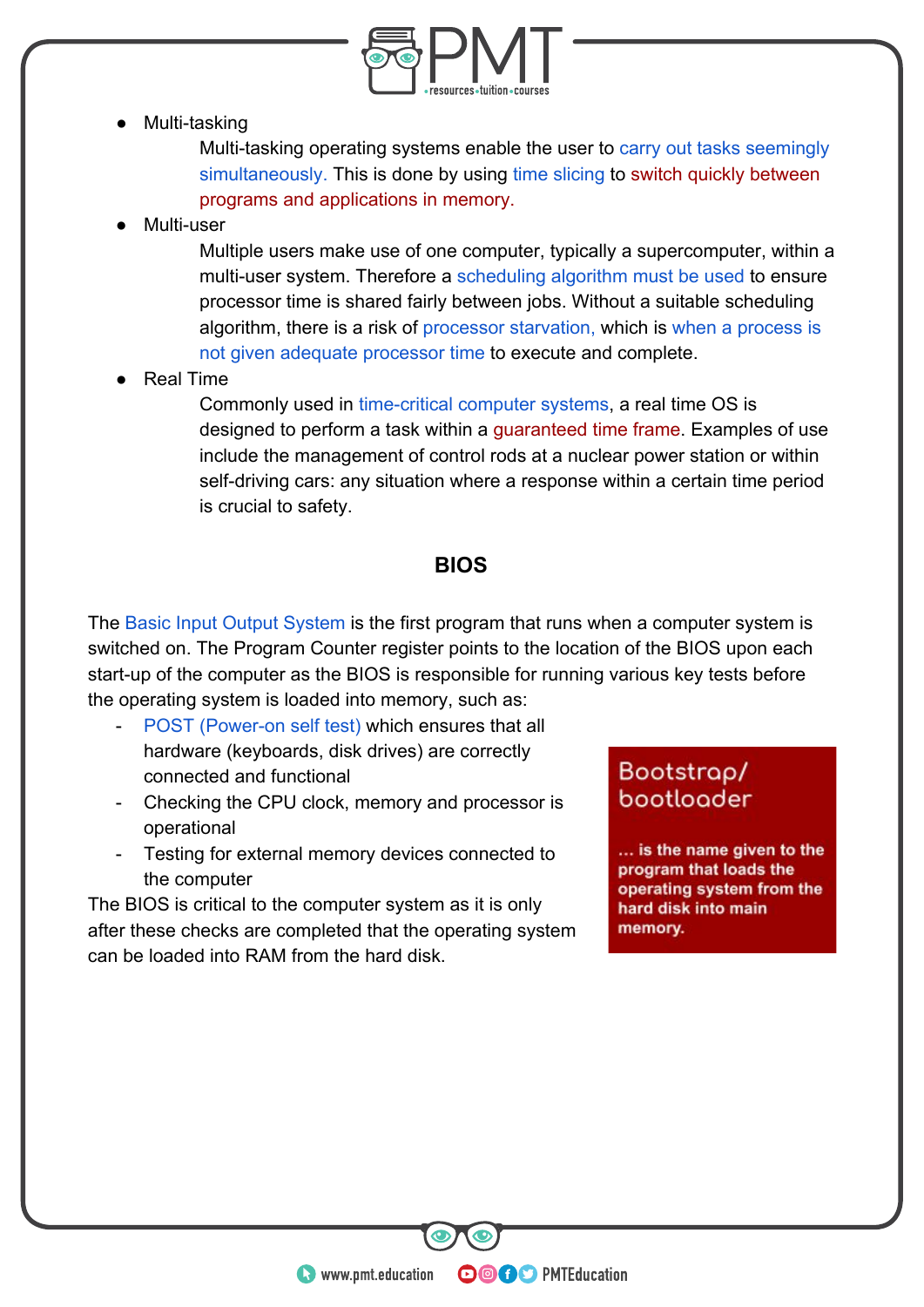

Multi-tasking

Multi-tasking operating systems enable the user to carry out tasks seemingly simultaneously. This is done by using time slicing to switch quickly between programs and applications in memory.

Multi-user

Multiple users make use of one computer, typically a supercomputer, within a multi-user system. Therefore a scheduling algorithm must be used to ensure processor time is shared fairly between jobs. Without a suitable scheduling algorithm, there is a risk of processor starvation, which is when a process is not given adequate processor time to execute and complete.

**Real Time** 

Commonly used in time-critical computer systems, a real time OS is designed to perform a task within a guaranteed time frame. Examples of use include the management of control rods at a nuclear power station or within self-driving cars: any situation where a response within a certain time period is crucial to safety.

### **BIOS**

The Basic Input Output System is the first program that runs when a computer system is switched on. The Program Counter register points to the location of the BIOS upon each start-up of the computer as the BIOS is responsible for running various key tests before the operating system is loaded into memory, such as:

- POST (Power-on self test) which ensures that all hardware (keyboards, disk drives) are correctly connected and functional
- Checking the CPU clock, memory and processor is operational
- Testing for external memory devices connected to the computer

The BIOS is critical to the computer system as it is only after these checks are completed that the operating system can be loaded into RAM from the hard disk.

## Bootstrap/ bootloader

... is the name given to the program that loads the operating system from the hard disk into main memory.

**WWW.pmt.education**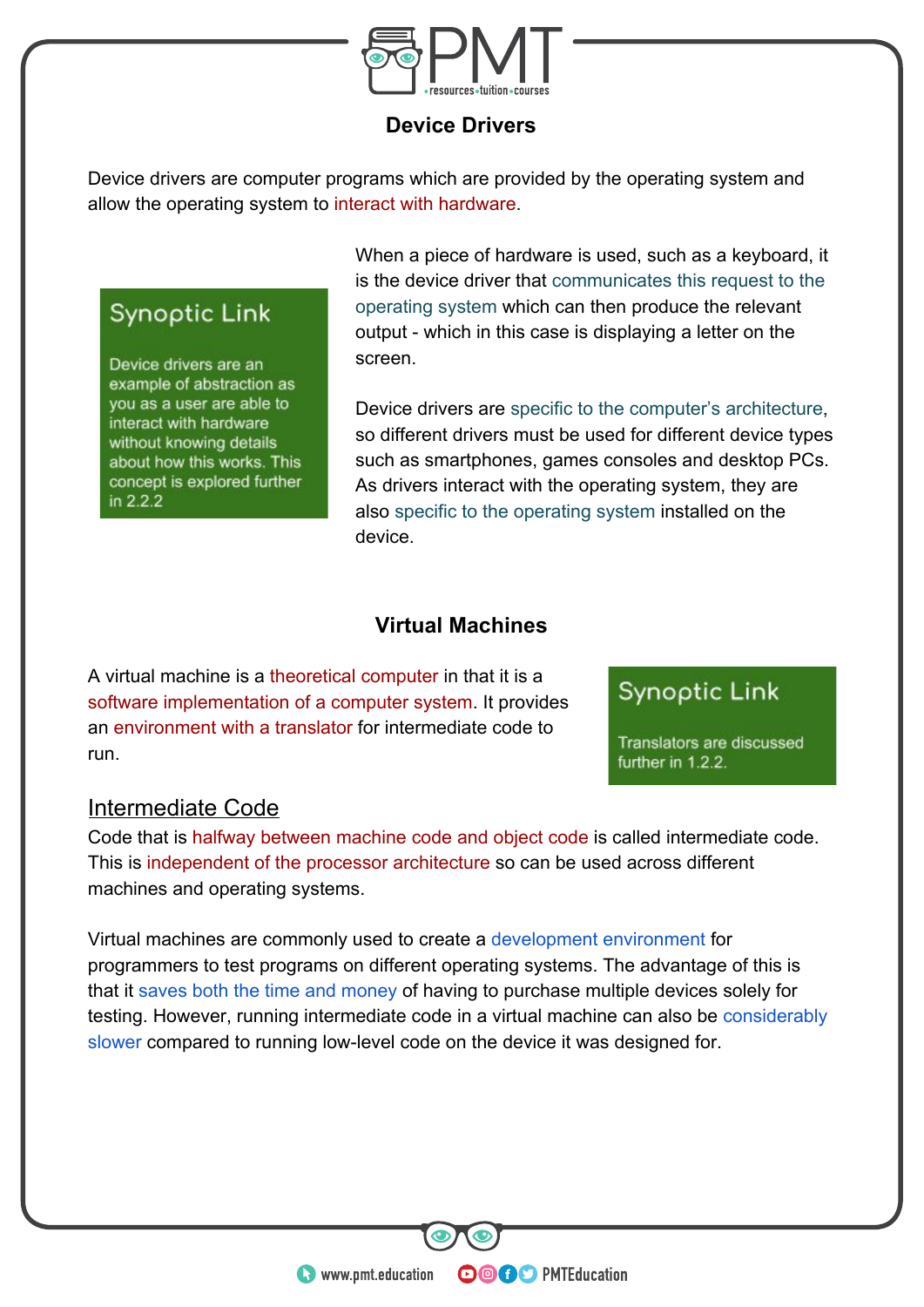

#### **Device Drivers**

Device drivers are computer programs which are provided by the operating system and allow the operating system to interact with hardware.

## Synoptic Link

Device drivers are an example of abstraction as you as a user are able to interact with hardware without knowing details about how this works. This concept is explored further in 2.2.2

When a piece of hardware is used, such as a keyboard, it is the device driver that communicates this request to the operating system which can then produce the relevant output - which in this case is displaying a letter on the screen.

Device drivers are specific to the computer's architecture, so different drivers must be used for different device types such as smartphones, games consoles and desktop PCs. As drivers interact with the operating system, they are also specific to the operating system installed on the device.

### **Virtual Machines**

A virtual machine is a theoretical computer in that it is a software implementation of a computer system. It provides an environment with a translator for intermediate code to run.

## **Synoptic Link**

Translators are discussed further in 1.2.2.

## Intermediate Code

Code that is halfway between machine code and object code is called intermediate code. This is independent of the processor architecture so can be used across different machines and operating systems.

Virtual machines are commonly used to create a development environment for programmers to test programs on different operating systems. The advantage of this is that it saves both the time and money of having to purchase multiple devices solely for testing. However, running intermediate code in a virtual machine can also be considerably slower compared to running low-level code on the device it was designed for.

**OOOO** PMTEducation

**C** www.pmt.education